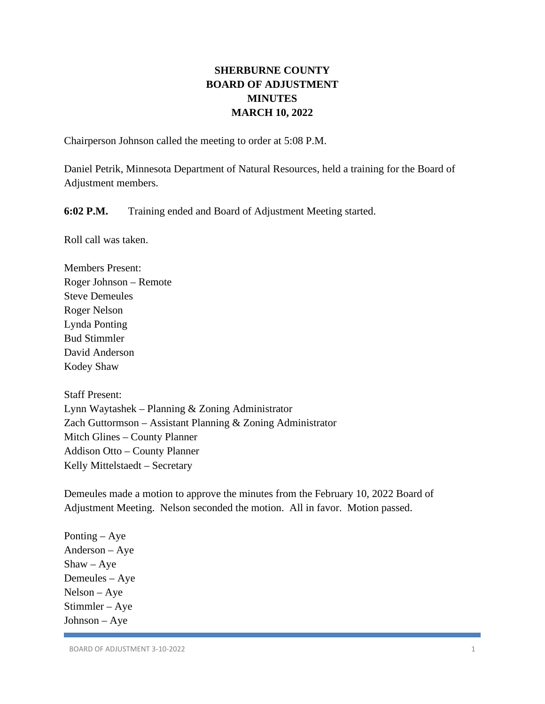# **SHERBURNE COUNTY BOARD OF ADJUSTMENT MINUTES MARCH 10, 2022**

Chairperson Johnson called the meeting to order at 5:08 P.M.

Daniel Petrik, Minnesota Department of Natural Resources, held a training for the Board of Adjustment members.

**6:02 P.M.** Training ended and Board of Adjustment Meeting started.

Roll call was taken.

Members Present: Roger Johnson – Remote Steve Demeules Roger Nelson Lynda Ponting Bud Stimmler David Anderson Kodey Shaw

Staff Present: Lynn Waytashek – Planning & Zoning Administrator Zach Guttormson – Assistant Planning & Zoning Administrator Mitch Glines – County Planner Addison Otto – County Planner Kelly Mittelstaedt – Secretary

Demeules made a motion to approve the minutes from the February 10, 2022 Board of Adjustment Meeting. Nelson seconded the motion. All in favor. Motion passed.

Ponting – Aye Anderson – Aye  $Shaw - Aye$ Demeules – Aye Nelson – Aye Stimmler – Aye Johnson – Aye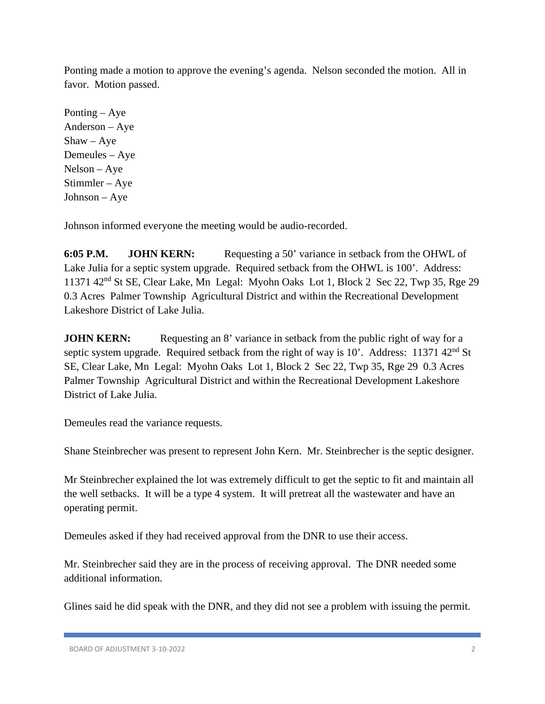Ponting made a motion to approve the evening's agenda. Nelson seconded the motion. All in favor. Motion passed.

Ponting – Aye Anderson – Aye  $Shaw - Aye$ Demeules – Aye Nelson – Aye Stimmler – Aye Johnson – Aye

Johnson informed everyone the meeting would be audio-recorded.

**6:05 P.M. JOHN KERN:** Requesting a 50' variance in setback from the OHWL of Lake Julia for a septic system upgrade. Required setback from the OHWL is 100'. Address: 11371 42nd St SE, Clear Lake, Mn Legal: Myohn Oaks Lot 1, Block 2 Sec 22, Twp 35, Rge 29 0.3 Acres Palmer Township Agricultural District and within the Recreational Development Lakeshore District of Lake Julia.

**JOHN KERN:** Requesting an 8' variance in setback from the public right of way for a septic system upgrade. Required setback from the right of way is  $10'$ . Address: 11371 42<sup>nd</sup> St SE, Clear Lake, Mn Legal: Myohn Oaks Lot 1, Block 2 Sec 22, Twp 35, Rge 29 0.3 Acres Palmer Township Agricultural District and within the Recreational Development Lakeshore District of Lake Julia.

Demeules read the variance requests.

Shane Steinbrecher was present to represent John Kern. Mr. Steinbrecher is the septic designer.

Mr Steinbrecher explained the lot was extremely difficult to get the septic to fit and maintain all the well setbacks. It will be a type 4 system. It will pretreat all the wastewater and have an operating permit.

Demeules asked if they had received approval from the DNR to use their access.

Mr. Steinbrecher said they are in the process of receiving approval. The DNR needed some additional information.

Glines said he did speak with the DNR, and they did not see a problem with issuing the permit.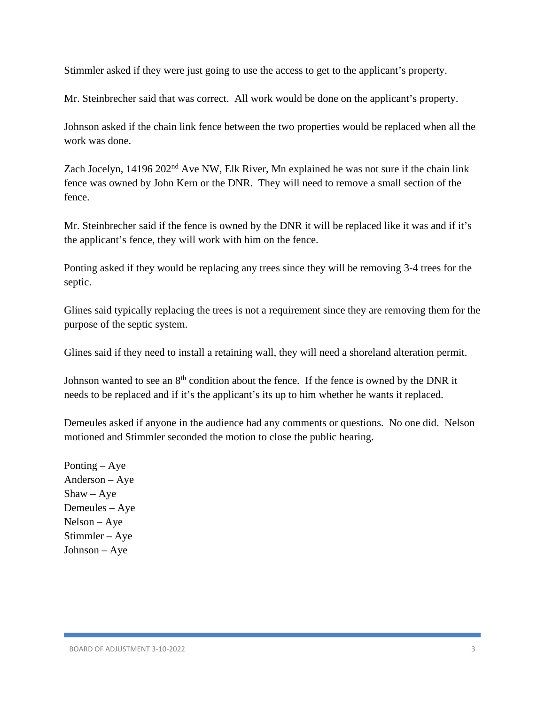Stimmler asked if they were just going to use the access to get to the applicant's property.

Mr. Steinbrecher said that was correct. All work would be done on the applicant's property.

Johnson asked if the chain link fence between the two properties would be replaced when all the work was done.

Zach Jocelyn, 14196 202<sup>nd</sup> Ave NW, Elk River, Mn explained he was not sure if the chain link fence was owned by John Kern or the DNR. They will need to remove a small section of the fence.

Mr. Steinbrecher said if the fence is owned by the DNR it will be replaced like it was and if it's the applicant's fence, they will work with him on the fence.

Ponting asked if they would be replacing any trees since they will be removing 3-4 trees for the septic.

Glines said typically replacing the trees is not a requirement since they are removing them for the purpose of the septic system.

Glines said if they need to install a retaining wall, they will need a shoreland alteration permit.

Johnson wanted to see an  $8<sup>th</sup>$  condition about the fence. If the fence is owned by the DNR it needs to be replaced and if it's the applicant's its up to him whether he wants it replaced.

Demeules asked if anyone in the audience had any comments or questions. No one did. Nelson motioned and Stimmler seconded the motion to close the public hearing.

Ponting – Aye Anderson – Aye  $Shaw - Aye$ Demeules – Aye Nelson – Aye Stimmler – Aye Johnson – Aye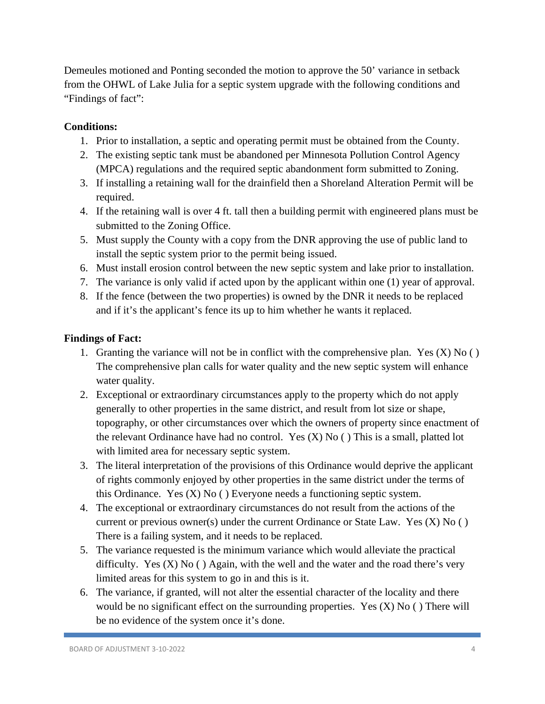Demeules motioned and Ponting seconded the motion to approve the 50' variance in setback from the OHWL of Lake Julia for a septic system upgrade with the following conditions and "Findings of fact":

# **Conditions:**

- 1. Prior to installation, a septic and operating permit must be obtained from the County.
- 2. The existing septic tank must be abandoned per Minnesota Pollution Control Agency (MPCA) regulations and the required septic abandonment form submitted to Zoning.
- 3. If installing a retaining wall for the drainfield then a Shoreland Alteration Permit will be required.
- 4. If the retaining wall is over 4 ft. tall then a building permit with engineered plans must be submitted to the Zoning Office.
- 5. Must supply the County with a copy from the DNR approving the use of public land to install the septic system prior to the permit being issued.
- 6. Must install erosion control between the new septic system and lake prior to installation.
- 7. The variance is only valid if acted upon by the applicant within one (1) year of approval.
- 8. If the fence (between the two properties) is owned by the DNR it needs to be replaced and if it's the applicant's fence its up to him whether he wants it replaced.

- 1. Granting the variance will not be in conflict with the comprehensive plan. Yes  $(X)$  No  $( )$ The comprehensive plan calls for water quality and the new septic system will enhance water quality.
- 2. Exceptional or extraordinary circumstances apply to the property which do not apply generally to other properties in the same district, and result from lot size or shape, topography, or other circumstances over which the owners of property since enactment of the relevant Ordinance have had no control. Yes (X) No ( ) This is a small, platted lot with limited area for necessary septic system.
- 3. The literal interpretation of the provisions of this Ordinance would deprive the applicant of rights commonly enjoyed by other properties in the same district under the terms of this Ordinance. Yes (X) No ( ) Everyone needs a functioning septic system.
- 4. The exceptional or extraordinary circumstances do not result from the actions of the current or previous owner(s) under the current Ordinance or State Law. Yes (X) No ( ) There is a failing system, and it needs to be replaced.
- 5. The variance requested is the minimum variance which would alleviate the practical difficulty. Yes  $(X)$  No  $( )$  Again, with the well and the water and the road there's very limited areas for this system to go in and this is it.
- 6. The variance, if granted, will not alter the essential character of the locality and there would be no significant effect on the surrounding properties. Yes  $(X)$  No () There will be no evidence of the system once it's done.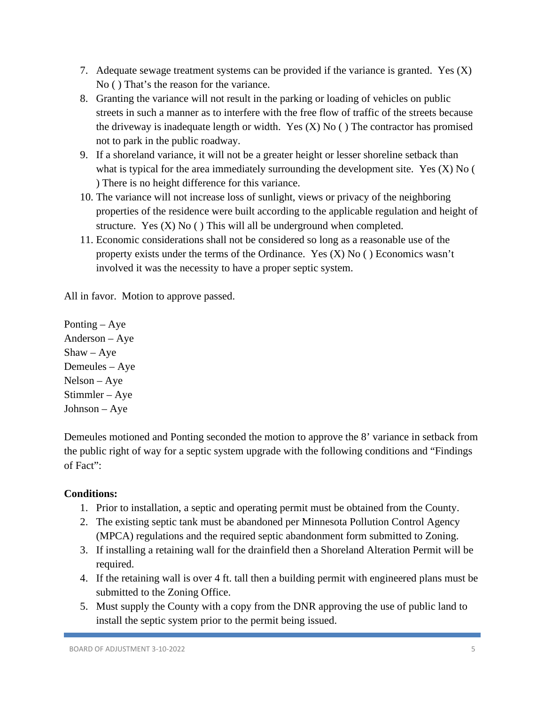- 7. Adequate sewage treatment systems can be provided if the variance is granted. Yes (X) No ( ) That's the reason for the variance.
- 8. Granting the variance will not result in the parking or loading of vehicles on public streets in such a manner as to interfere with the free flow of traffic of the streets because the driveway is inadequate length or width. Yes  $(X)$  No () The contractor has promised not to park in the public roadway.
- 9. If a shoreland variance, it will not be a greater height or lesser shoreline setback than what is typical for the area immediately surrounding the development site. Yes (X) No ( ) There is no height difference for this variance.
- 10. The variance will not increase loss of sunlight, views or privacy of the neighboring properties of the residence were built according to the applicable regulation and height of structure. Yes  $(X)$  No  $( )$  This will all be underground when completed.
- 11. Economic considerations shall not be considered so long as a reasonable use of the property exists under the terms of the Ordinance. Yes  $(X)$  No  $($   $)$  Economics wasn't involved it was the necessity to have a proper septic system.

Ponting – Aye Anderson – Aye Shaw – Aye Demeules – Aye Nelson – Aye Stimmler – Aye Johnson – Aye

Demeules motioned and Ponting seconded the motion to approve the 8' variance in setback from the public right of way for a septic system upgrade with the following conditions and "Findings of Fact":

- 1. Prior to installation, a septic and operating permit must be obtained from the County.
- 2. The existing septic tank must be abandoned per Minnesota Pollution Control Agency (MPCA) regulations and the required septic abandonment form submitted to Zoning.
- 3. If installing a retaining wall for the drainfield then a Shoreland Alteration Permit will be required.
- 4. If the retaining wall is over 4 ft. tall then a building permit with engineered plans must be submitted to the Zoning Office.
- 5. Must supply the County with a copy from the DNR approving the use of public land to install the septic system prior to the permit being issued.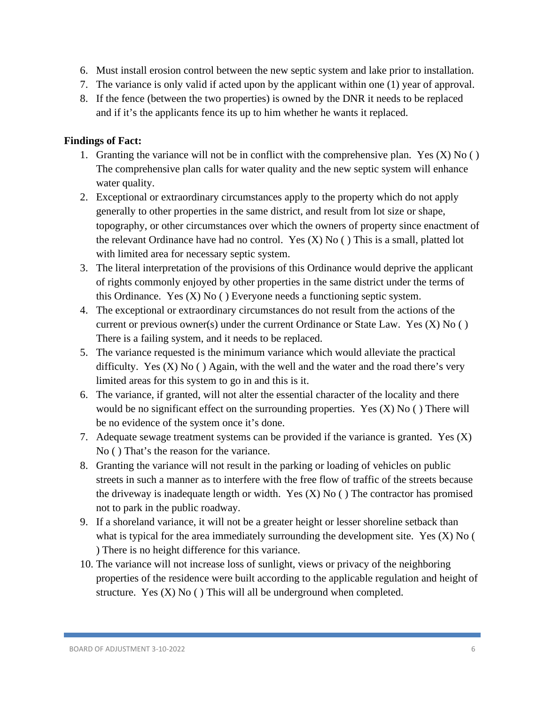- 6. Must install erosion control between the new septic system and lake prior to installation.
- 7. The variance is only valid if acted upon by the applicant within one (1) year of approval.
- 8. If the fence (between the two properties) is owned by the DNR it needs to be replaced and if it's the applicants fence its up to him whether he wants it replaced.

- 1. Granting the variance will not be in conflict with the comprehensive plan. Yes  $(X)$  No  $( )$ The comprehensive plan calls for water quality and the new septic system will enhance water quality.
- 2. Exceptional or extraordinary circumstances apply to the property which do not apply generally to other properties in the same district, and result from lot size or shape, topography, or other circumstances over which the owners of property since enactment of the relevant Ordinance have had no control. Yes (X) No ( ) This is a small, platted lot with limited area for necessary septic system.
- 3. The literal interpretation of the provisions of this Ordinance would deprive the applicant of rights commonly enjoyed by other properties in the same district under the terms of this Ordinance. Yes  $(X)$  No  $( )$  Everyone needs a functioning septic system.
- 4. The exceptional or extraordinary circumstances do not result from the actions of the current or previous owner(s) under the current Ordinance or State Law. Yes  $(X)$  No  $( )$ There is a failing system, and it needs to be replaced.
- 5. The variance requested is the minimum variance which would alleviate the practical difficulty. Yes  $(X)$  No  $( )$  Again, with the well and the water and the road there's very limited areas for this system to go in and this is it.
- 6. The variance, if granted, will not alter the essential character of the locality and there would be no significant effect on the surrounding properties. Yes (X) No ( ) There will be no evidence of the system once it's done.
- 7. Adequate sewage treatment systems can be provided if the variance is granted. Yes (X) No ( ) That's the reason for the variance.
- 8. Granting the variance will not result in the parking or loading of vehicles on public streets in such a manner as to interfere with the free flow of traffic of the streets because the driveway is inadequate length or width. Yes  $(X)$  No  $($   $)$  The contractor has promised not to park in the public roadway.
- 9. If a shoreland variance, it will not be a greater height or lesser shoreline setback than what is typical for the area immediately surrounding the development site. Yes (X) No ( ) There is no height difference for this variance.
- 10. The variance will not increase loss of sunlight, views or privacy of the neighboring properties of the residence were built according to the applicable regulation and height of structure. Yes  $(X)$  No  $( )$  This will all be underground when completed.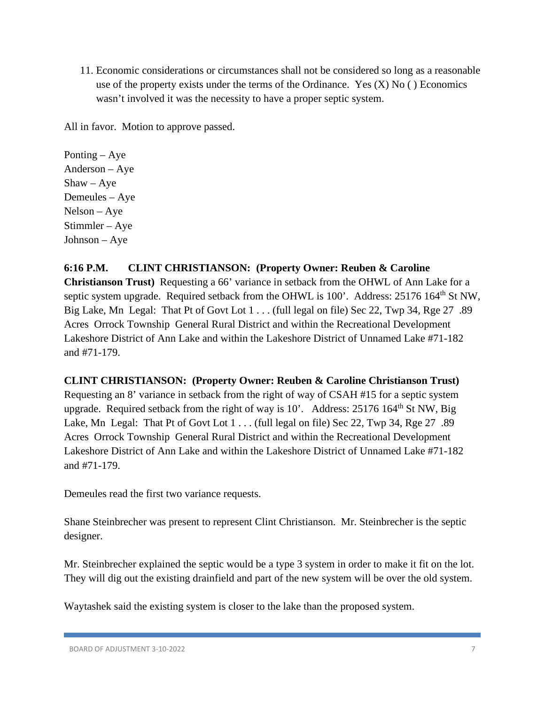11. Economic considerations or circumstances shall not be considered so long as a reasonable use of the property exists under the terms of the Ordinance. Yes  $(X)$  No  $( )$  Economics wasn't involved it was the necessity to have a proper septic system.

All in favor. Motion to approve passed.

Ponting – Aye Anderson – Aye  $Shaw - Aye$ Demeules – Aye Nelson – Aye Stimmler – Aye Johnson – Aye

### **6:16 P.M. CLINT CHRISTIANSON: (Property Owner: Reuben & Caroline**

**Christianson Trust)** Requesting a 66' variance in setback from the OHWL of Ann Lake for a septic system upgrade. Required setback from the OHWL is 100'. Address: 25176 164<sup>th</sup> St NW, Big Lake, Mn Legal: That Pt of Govt Lot 1 . . . (full legal on file) Sec 22, Twp 34, Rge 27 .89 Acres Orrock Township General Rural District and within the Recreational Development Lakeshore District of Ann Lake and within the Lakeshore District of Unnamed Lake #71-182 and #71-179.

### **CLINT CHRISTIANSON: (Property Owner: Reuben & Caroline Christianson Trust)**

Requesting an 8' variance in setback from the right of way of CSAH #15 for a septic system upgrade. Required setback from the right of way is  $10'$ . Address:  $25176 \times 164^{\text{th}}$  St NW, Big Lake, Mn Legal: That Pt of Govt Lot 1 . . . (full legal on file) Sec 22, Twp 34, Rge 27 .89 Acres Orrock Township General Rural District and within the Recreational Development Lakeshore District of Ann Lake and within the Lakeshore District of Unnamed Lake #71-182 and #71-179.

Demeules read the first two variance requests.

Shane Steinbrecher was present to represent Clint Christianson. Mr. Steinbrecher is the septic designer.

Mr. Steinbrecher explained the septic would be a type 3 system in order to make it fit on the lot. They will dig out the existing drainfield and part of the new system will be over the old system.

Waytashek said the existing system is closer to the lake than the proposed system.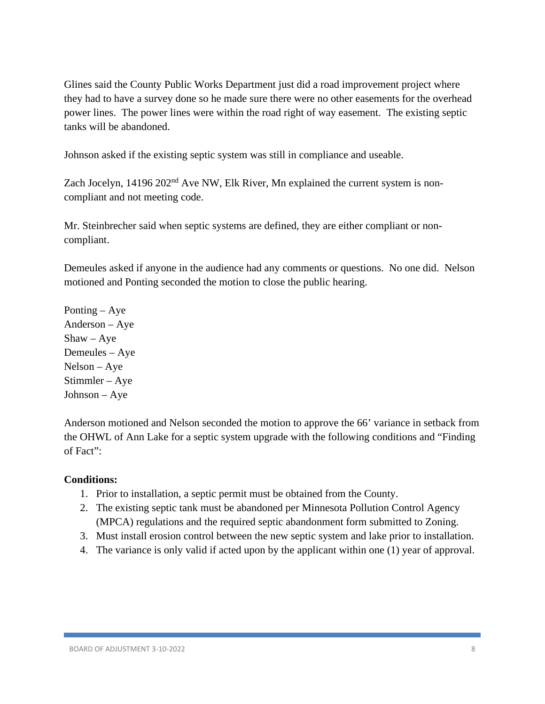Glines said the County Public Works Department just did a road improvement project where they had to have a survey done so he made sure there were no other easements for the overhead power lines. The power lines were within the road right of way easement. The existing septic tanks will be abandoned.

Johnson asked if the existing septic system was still in compliance and useable.

Zach Jocelyn, 14196 202<sup>nd</sup> Ave NW, Elk River, Mn explained the current system is noncompliant and not meeting code.

Mr. Steinbrecher said when septic systems are defined, they are either compliant or noncompliant.

Demeules asked if anyone in the audience had any comments or questions. No one did. Nelson motioned and Ponting seconded the motion to close the public hearing.

Ponting – Aye Anderson – Aye  $Shaw - Aye$ Demeules – Aye Nelson – Aye Stimmler – Aye Johnson – Aye

Anderson motioned and Nelson seconded the motion to approve the 66' variance in setback from the OHWL of Ann Lake for a septic system upgrade with the following conditions and "Finding of Fact":

- 1. Prior to installation, a septic permit must be obtained from the County.
- 2. The existing septic tank must be abandoned per Minnesota Pollution Control Agency (MPCA) regulations and the required septic abandonment form submitted to Zoning.
- 3. Must install erosion control between the new septic system and lake prior to installation.
- 4. The variance is only valid if acted upon by the applicant within one (1) year of approval.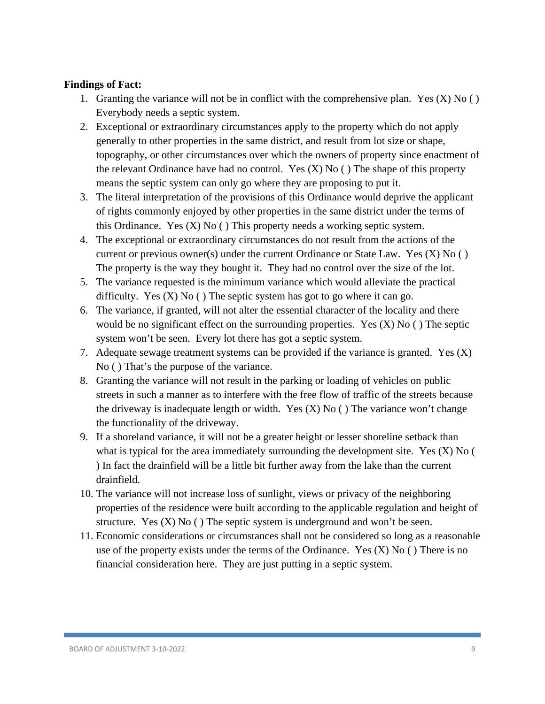- 1. Granting the variance will not be in conflict with the comprehensive plan. Yes  $(X)$  No  $( )$ Everybody needs a septic system.
- 2. Exceptional or extraordinary circumstances apply to the property which do not apply generally to other properties in the same district, and result from lot size or shape, topography, or other circumstances over which the owners of property since enactment of the relevant Ordinance have had no control. Yes  $(X)$  No  $($   $)$  The shape of this property means the septic system can only go where they are proposing to put it.
- 3. The literal interpretation of the provisions of this Ordinance would deprive the applicant of rights commonly enjoyed by other properties in the same district under the terms of this Ordinance. Yes  $(X)$  No  $($   $)$  This property needs a working septic system.
- 4. The exceptional or extraordinary circumstances do not result from the actions of the current or previous owner(s) under the current Ordinance or State Law. Yes (X) No ( ) The property is the way they bought it. They had no control over the size of the lot.
- 5. The variance requested is the minimum variance which would alleviate the practical difficulty. Yes  $(X)$  No  $( )$  The septic system has got to go where it can go.
- 6. The variance, if granted, will not alter the essential character of the locality and there would be no significant effect on the surrounding properties. Yes  $(X)$  No () The septic system won't be seen. Every lot there has got a septic system.
- 7. Adequate sewage treatment systems can be provided if the variance is granted. Yes  $(X)$ No ( ) That's the purpose of the variance.
- 8. Granting the variance will not result in the parking or loading of vehicles on public streets in such a manner as to interfere with the free flow of traffic of the streets because the driveway is inadequate length or width. Yes  $(X)$  No  $($   $)$  The variance won't change the functionality of the driveway.
- 9. If a shoreland variance, it will not be a greater height or lesser shoreline setback than what is typical for the area immediately surrounding the development site. Yes (X) No ( ) In fact the drainfield will be a little bit further away from the lake than the current drainfield.
- 10. The variance will not increase loss of sunlight, views or privacy of the neighboring properties of the residence were built according to the applicable regulation and height of structure. Yes  $(X)$  No  $( )$  The septic system is underground and won't be seen.
- 11. Economic considerations or circumstances shall not be considered so long as a reasonable use of the property exists under the terms of the Ordinance. Yes  $(X)$  No () There is no financial consideration here. They are just putting in a septic system.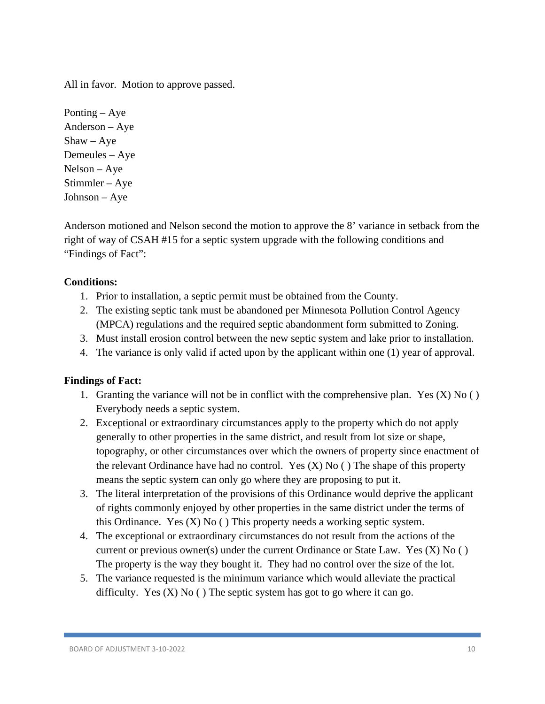Ponting – Aye Anderson – Aye  $Shaw - Aye$ Demeules – Aye Nelson – Aye Stimmler – Aye Johnson – Aye

Anderson motioned and Nelson second the motion to approve the 8' variance in setback from the right of way of CSAH #15 for a septic system upgrade with the following conditions and "Findings of Fact":

### **Conditions:**

- 1. Prior to installation, a septic permit must be obtained from the County.
- 2. The existing septic tank must be abandoned per Minnesota Pollution Control Agency (MPCA) regulations and the required septic abandonment form submitted to Zoning.
- 3. Must install erosion control between the new septic system and lake prior to installation.
- 4. The variance is only valid if acted upon by the applicant within one (1) year of approval.

- 1. Granting the variance will not be in conflict with the comprehensive plan. Yes  $(X)$  No  $( )$ Everybody needs a septic system.
- 2. Exceptional or extraordinary circumstances apply to the property which do not apply generally to other properties in the same district, and result from lot size or shape, topography, or other circumstances over which the owners of property since enactment of the relevant Ordinance have had no control. Yes  $(X)$  No  $($ ) The shape of this property means the septic system can only go where they are proposing to put it.
- 3. The literal interpretation of the provisions of this Ordinance would deprive the applicant of rights commonly enjoyed by other properties in the same district under the terms of this Ordinance. Yes  $(X)$  No  $($   $)$  This property needs a working septic system.
- 4. The exceptional or extraordinary circumstances do not result from the actions of the current or previous owner(s) under the current Ordinance or State Law. Yes (X) No ( ) The property is the way they bought it. They had no control over the size of the lot.
- 5. The variance requested is the minimum variance which would alleviate the practical difficulty. Yes  $(X)$  No  $( )$  The septic system has got to go where it can go.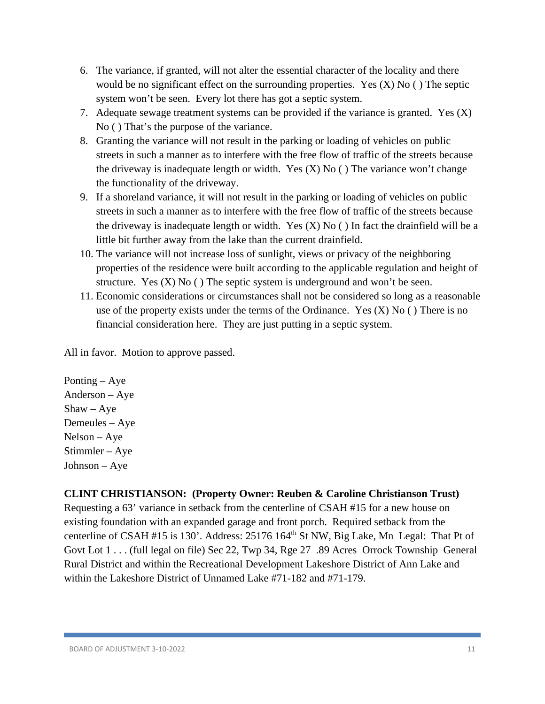- 6. The variance, if granted, will not alter the essential character of the locality and there would be no significant effect on the surrounding properties. Yes  $(X)$  No  $( )$  The septic system won't be seen. Every lot there has got a septic system.
- 7. Adequate sewage treatment systems can be provided if the variance is granted. Yes (X) No ( ) That's the purpose of the variance.
- 8. Granting the variance will not result in the parking or loading of vehicles on public streets in such a manner as to interfere with the free flow of traffic of the streets because the driveway is inadequate length or width. Yes  $(X)$  No  $($   $)$  The variance won't change the functionality of the driveway.
- 9. If a shoreland variance, it will not result in the parking or loading of vehicles on public streets in such a manner as to interfere with the free flow of traffic of the streets because the driveway is inadequate length or width. Yes  $(X)$  No  $($  ) In fact the drainfield will be a little bit further away from the lake than the current drainfield.
- 10. The variance will not increase loss of sunlight, views or privacy of the neighboring properties of the residence were built according to the applicable regulation and height of structure. Yes  $(X)$  No  $( )$  The septic system is underground and won't be seen.
- 11. Economic considerations or circumstances shall not be considered so long as a reasonable use of the property exists under the terms of the Ordinance. Yes  $(X)$  No () There is no financial consideration here. They are just putting in a septic system.

Ponting – Aye Anderson – Aye  $Shaw - Aye$ Demeules – Aye Nelson – Aye Stimmler – Aye Johnson – Aye

### **CLINT CHRISTIANSON: (Property Owner: Reuben & Caroline Christianson Trust)**

Requesting a 63' variance in setback from the centerline of CSAH #15 for a new house on existing foundation with an expanded garage and front porch. Required setback from the centerline of CSAH #15 is 130'. Address: 25176 164<sup>th</sup> St NW, Big Lake, Mn Legal: That Pt of Govt Lot 1 . . . (full legal on file) Sec 22, Twp 34, Rge 27 .89 Acres Orrock Township General Rural District and within the Recreational Development Lakeshore District of Ann Lake and within the Lakeshore District of Unnamed Lake #71-182 and #71-179.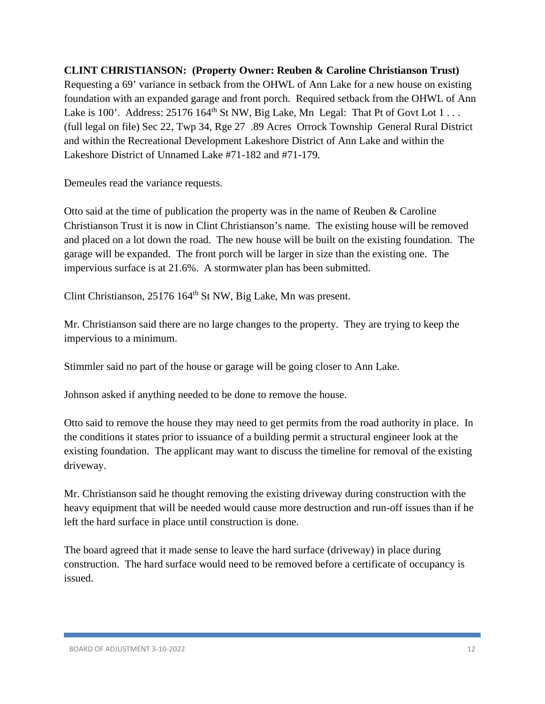**CLINT CHRISTIANSON: (Property Owner: Reuben & Caroline Christianson Trust)**  Requesting a 69' variance in setback from the OHWL of Ann Lake for a new house on existing foundation with an expanded garage and front porch. Required setback from the OHWL of Ann Lake is 100'. Address:  $25176164<sup>th</sup>$  St NW, Big Lake, Mn Legal: That Pt of Govt Lot  $1 \ldots$ (full legal on file) Sec 22, Twp 34, Rge 27 .89 Acres Orrock Township General Rural District and within the Recreational Development Lakeshore District of Ann Lake and within the Lakeshore District of Unnamed Lake #71-182 and #71-179.

Demeules read the variance requests.

Otto said at the time of publication the property was in the name of Reuben & Caroline Christianson Trust it is now in Clint Christianson's name. The existing house will be removed and placed on a lot down the road. The new house will be built on the existing foundation. The garage will be expanded. The front porch will be larger in size than the existing one. The impervious surface is at 21.6%. A stormwater plan has been submitted.

Clint Christianson, 25176 164th St NW, Big Lake, Mn was present.

Mr. Christianson said there are no large changes to the property. They are trying to keep the impervious to a minimum.

Stimmler said no part of the house or garage will be going closer to Ann Lake.

Johnson asked if anything needed to be done to remove the house.

Otto said to remove the house they may need to get permits from the road authority in place. In the conditions it states prior to issuance of a building permit a structural engineer look at the existing foundation. The applicant may want to discuss the timeline for removal of the existing driveway.

Mr. Christianson said he thought removing the existing driveway during construction with the heavy equipment that will be needed would cause more destruction and run-off issues than if he left the hard surface in place until construction is done.

The board agreed that it made sense to leave the hard surface (driveway) in place during construction. The hard surface would need to be removed before a certificate of occupancy is issued.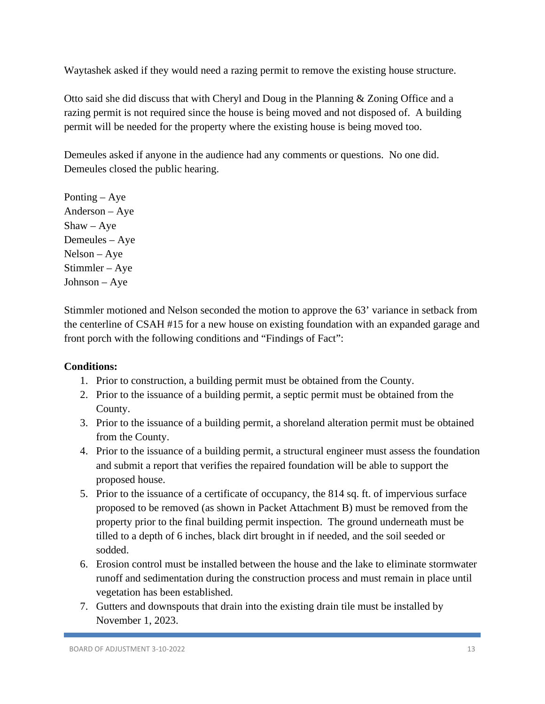Waytashek asked if they would need a razing permit to remove the existing house structure.

Otto said she did discuss that with Cheryl and Doug in the Planning & Zoning Office and a razing permit is not required since the house is being moved and not disposed of. A building permit will be needed for the property where the existing house is being moved too.

Demeules asked if anyone in the audience had any comments or questions. No one did. Demeules closed the public hearing.

Ponting – Aye Anderson – Aye  $Shaw - Aye$ Demeules – Aye Nelson – Aye Stimmler – Aye Johnson – Aye

Stimmler motioned and Nelson seconded the motion to approve the 63' variance in setback from the centerline of CSAH #15 for a new house on existing foundation with an expanded garage and front porch with the following conditions and "Findings of Fact":

- 1. Prior to construction, a building permit must be obtained from the County.
- 2. Prior to the issuance of a building permit, a septic permit must be obtained from the County.
- 3. Prior to the issuance of a building permit, a shoreland alteration permit must be obtained from the County.
- 4. Prior to the issuance of a building permit, a structural engineer must assess the foundation and submit a report that verifies the repaired foundation will be able to support the proposed house.
- 5. Prior to the issuance of a certificate of occupancy, the 814 sq. ft. of impervious surface proposed to be removed (as shown in Packet Attachment B) must be removed from the property prior to the final building permit inspection. The ground underneath must be tilled to a depth of 6 inches, black dirt brought in if needed, and the soil seeded or sodded.
- 6. Erosion control must be installed between the house and the lake to eliminate stormwater runoff and sedimentation during the construction process and must remain in place until vegetation has been established.
- 7. Gutters and downspouts that drain into the existing drain tile must be installed by November 1, 2023.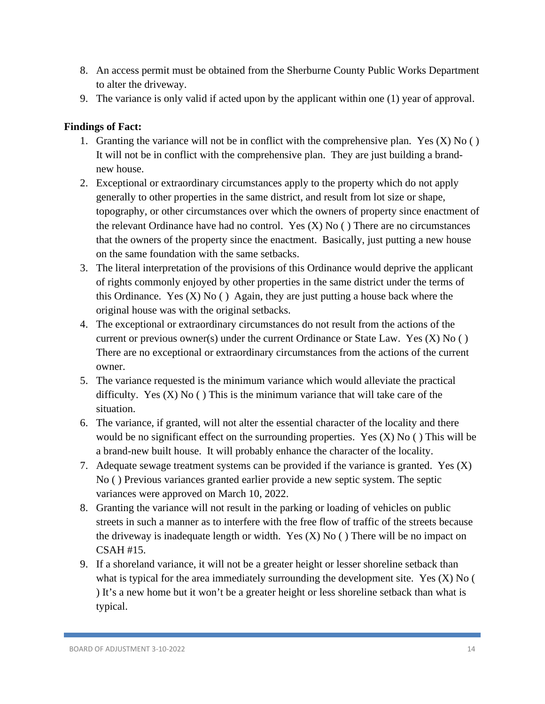- 8. An access permit must be obtained from the Sherburne County Public Works Department to alter the driveway.
- 9. The variance is only valid if acted upon by the applicant within one (1) year of approval.

- 1. Granting the variance will not be in conflict with the comprehensive plan. Yes  $(X)$  No  $( )$ It will not be in conflict with the comprehensive plan. They are just building a brandnew house.
- 2. Exceptional or extraordinary circumstances apply to the property which do not apply generally to other properties in the same district, and result from lot size or shape, topography, or other circumstances over which the owners of property since enactment of the relevant Ordinance have had no control. Yes (X) No ( ) There are no circumstances that the owners of the property since the enactment. Basically, just putting a new house on the same foundation with the same setbacks.
- 3. The literal interpretation of the provisions of this Ordinance would deprive the applicant of rights commonly enjoyed by other properties in the same district under the terms of this Ordinance. Yes  $(X)$  No  $($ ) Again, they are just putting a house back where the original house was with the original setbacks.
- 4. The exceptional or extraordinary circumstances do not result from the actions of the current or previous owner(s) under the current Ordinance or State Law. Yes  $(X)$  No  $( )$ There are no exceptional or extraordinary circumstances from the actions of the current owner.
- 5. The variance requested is the minimum variance which would alleviate the practical difficulty. Yes  $(X)$  No  $( )$  This is the minimum variance that will take care of the situation.
- 6. The variance, if granted, will not alter the essential character of the locality and there would be no significant effect on the surrounding properties. Yes  $(X)$  No  $( )$  This will be a brand-new built house. It will probably enhance the character of the locality.
- 7. Adequate sewage treatment systems can be provided if the variance is granted. Yes  $(X)$ No ( ) Previous variances granted earlier provide a new septic system. The septic variances were approved on March 10, 2022.
- 8. Granting the variance will not result in the parking or loading of vehicles on public streets in such a manner as to interfere with the free flow of traffic of the streets because the driveway is inadequate length or width. Yes  $(X)$  No  $($ ) There will be no impact on CSAH #15.
- 9. If a shoreland variance, it will not be a greater height or lesser shoreline setback than what is typical for the area immediately surrounding the development site. Yes (X) No ( ) It's a new home but it won't be a greater height or less shoreline setback than what is typical.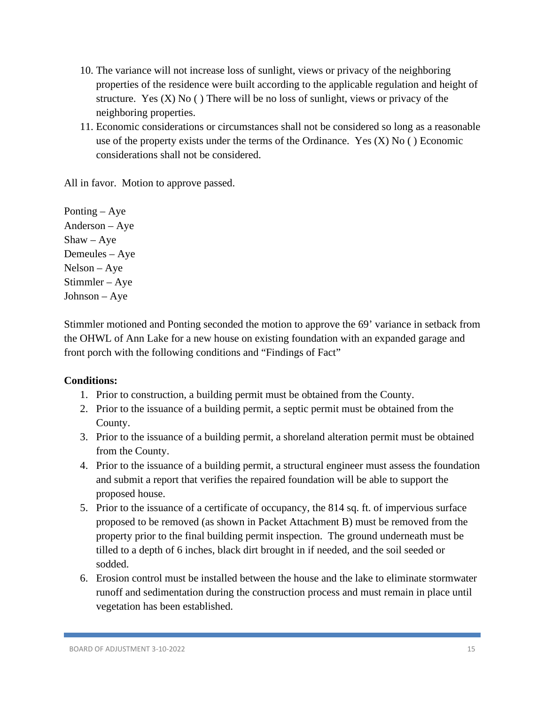- 10. The variance will not increase loss of sunlight, views or privacy of the neighboring properties of the residence were built according to the applicable regulation and height of structure. Yes  $(X)$  No  $( )$  There will be no loss of sunlight, views or privacy of the neighboring properties.
- 11. Economic considerations or circumstances shall not be considered so long as a reasonable use of the property exists under the terms of the Ordinance. Yes  $(X)$  No  $($   $)$  Economic considerations shall not be considered.

Ponting – Aye Anderson – Aye Shaw – Aye Demeules – Aye Nelson – Aye Stimmler – Aye Johnson – Aye

Stimmler motioned and Ponting seconded the motion to approve the 69' variance in setback from the OHWL of Ann Lake for a new house on existing foundation with an expanded garage and front porch with the following conditions and "Findings of Fact"

- 1. Prior to construction, a building permit must be obtained from the County.
- 2. Prior to the issuance of a building permit, a septic permit must be obtained from the County.
- 3. Prior to the issuance of a building permit, a shoreland alteration permit must be obtained from the County.
- 4. Prior to the issuance of a building permit, a structural engineer must assess the foundation and submit a report that verifies the repaired foundation will be able to support the proposed house.
- 5. Prior to the issuance of a certificate of occupancy, the 814 sq. ft. of impervious surface proposed to be removed (as shown in Packet Attachment B) must be removed from the property prior to the final building permit inspection. The ground underneath must be tilled to a depth of 6 inches, black dirt brought in if needed, and the soil seeded or sodded.
- 6. Erosion control must be installed between the house and the lake to eliminate stormwater runoff and sedimentation during the construction process and must remain in place until vegetation has been established.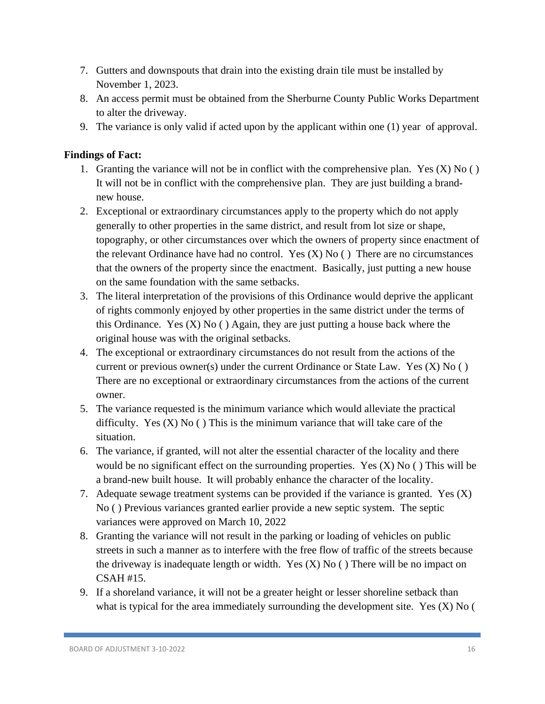- 7. Gutters and downspouts that drain into the existing drain tile must be installed by November 1, 2023.
- 8. An access permit must be obtained from the Sherburne County Public Works Department to alter the driveway.
- 9. The variance is only valid if acted upon by the applicant within one (1) year of approval.

- 1. Granting the variance will not be in conflict with the comprehensive plan. Yes  $(X)$  No  $( )$ It will not be in conflict with the comprehensive plan. They are just building a brandnew house.
- 2. Exceptional or extraordinary circumstances apply to the property which do not apply generally to other properties in the same district, and result from lot size or shape, topography, or other circumstances over which the owners of property since enactment of the relevant Ordinance have had no control. Yes  $(X)$  No  $($ ) There are no circumstances that the owners of the property since the enactment. Basically, just putting a new house on the same foundation with the same setbacks.
- 3. The literal interpretation of the provisions of this Ordinance would deprive the applicant of rights commonly enjoyed by other properties in the same district under the terms of this Ordinance. Yes  $(X)$  No  $( )$  Again, they are just putting a house back where the original house was with the original setbacks.
- 4. The exceptional or extraordinary circumstances do not result from the actions of the current or previous owner(s) under the current Ordinance or State Law. Yes (X) No ( ) There are no exceptional or extraordinary circumstances from the actions of the current owner.
- 5. The variance requested is the minimum variance which would alleviate the practical difficulty. Yes  $(X)$  No  $( )$  This is the minimum variance that will take care of the situation.
- 6. The variance, if granted, will not alter the essential character of the locality and there would be no significant effect on the surrounding properties. Yes  $(X)$  No  $( )$  This will be a brand-new built house. It will probably enhance the character of the locality.
- 7. Adequate sewage treatment systems can be provided if the variance is granted. Yes (X) No ( ) Previous variances granted earlier provide a new septic system. The septic variances were approved on March 10, 2022
- 8. Granting the variance will not result in the parking or loading of vehicles on public streets in such a manner as to interfere with the free flow of traffic of the streets because the driveway is inadequate length or width. Yes  $(X)$  No () There will be no impact on CSAH #15.
- 9. If a shoreland variance, it will not be a greater height or lesser shoreline setback than what is typical for the area immediately surrounding the development site. Yes  $(X)$  No (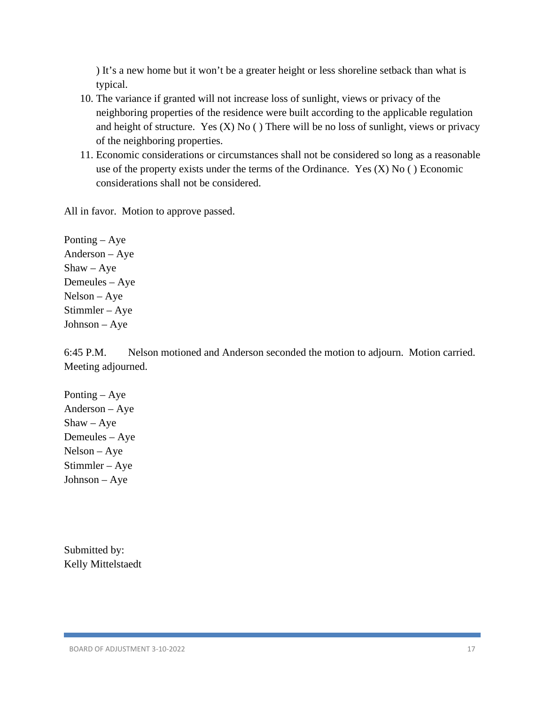) It's a new home but it won't be a greater height or less shoreline setback than what is typical.

- 10. The variance if granted will not increase loss of sunlight, views or privacy of the neighboring properties of the residence were built according to the applicable regulation and height of structure. Yes  $(X)$  No  $($  ) There will be no loss of sunlight, views or privacy of the neighboring properties.
- 11. Economic considerations or circumstances shall not be considered so long as a reasonable use of the property exists under the terms of the Ordinance. Yes  $(X)$  No  $( )$  Economic considerations shall not be considered.

All in favor. Motion to approve passed.

Ponting – Aye Anderson – Aye  $Shaw - Aye$ Demeules – Aye Nelson – Aye Stimmler – Aye Johnson – Aye

6:45 P.M. Nelson motioned and Anderson seconded the motion to adjourn. Motion carried. Meeting adjourned.

Ponting – Aye Anderson – Aye  $Shaw - Aye$ Demeules – Aye Nelson – Aye Stimmler – Aye Johnson – Aye

Submitted by: Kelly Mittelstaedt